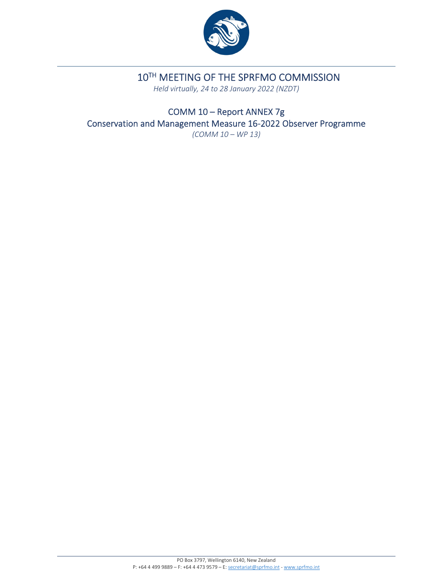

# 10TH MEETING OF THE SPRFMO COMMISSION

*Held virtually, 24 to 28 January 2022 (NZDT)*

COMM 10 – Report ANNEX 7g Conservation and Management Measure 16‐2022 Observer Programme *(COMM 10 – WP 13)*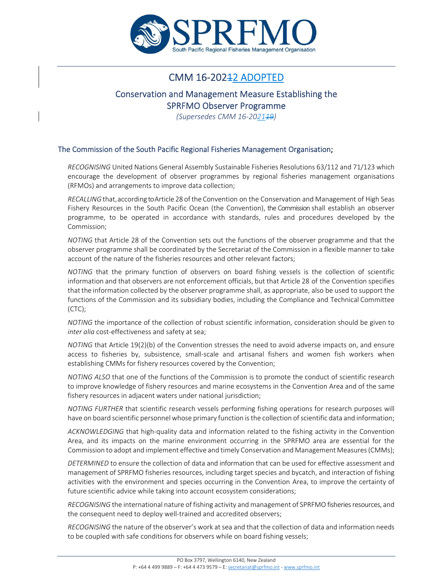

## CMM 16-202<del>1</del>2 ADOPTED

# Conservation and Management Measure Establishing the

SPRFMO Observer Programme

*(Supersedes CMM 16‐202119)*

## The Commission of the South Pacific Regional Fisheries Management Organisation;

*RECOGNISING* United Nations General Assembly Sustainable Fisheries Resolutions 63/112 and 71/123 which encourage the development of observer programmes by regional fisheries management organisations (RFMOs) and arrangements to improve data collection;

*RECALLING* that, according to Article 28 of the Convention on the Conservation and Management of High Seas Fishery Resources in the South Pacific Ocean (the Convention), the Commission shall establish an observer programme, to be operated in accordance with standards, rules and procedures developed by the Commission;

*NOTING* that Article 28 of the Convention sets out the functions of the observer programme and that the observer programme shall be coordinated by the Secretariat of the Commission in a flexible manner to take account of the nature of the fisheries resources and other relevant factors;

*NOTING* that the primary function of observers on board fishing vessels is the collection of scientific information and that observers are not enforcement officials, but that Article 28 of the Convention specifies thatthe information collected by the observer programme shall, as appropriate, also be used to support the functions of the Commission and its subsidiary bodies, including the Compliance and Technical Committee (CTC);

*NOTING* the importance of the collection of robust scientific information, consideration should be given to *inter alia* cost-effectiveness and safety at sea;

*NOTING* that Article 19(2)(b) of the Convention stresses the need to avoid adverse impacts on, and ensure access to fisheries by, subsistence, small‐scale and artisanal fishers and women fish workers when establishing CMMs for fishery resources covered by the Convention;

*NOTING ALSO* that one of the functions of the Commission is to promote the conduct of scientific research to improve knowledge of fishery resources and marine ecosystems in the Convention Area and of the same fishery resources in adjacent waters under national jurisdiction;

*NOTING FURTHER* that scientific research vessels performing fishing operations for research purposes will have on board scientific personnel whose primary function is the collection of scientific data and information;

*ACKNOWLEDGING* that high‐quality data and information related to the fishing activity in the Convention Area, and its impacts on the marine environment occurring in the SPRFMO area are essential for the Commission to adopt and implement effective and timely Conservation and Management Measures(CMMs);

*DETERMINED* to ensure the collection of data and information that can be used for effective assessment and management of SPRFMO fisheries resources, including target species and bycatch, and interaction of fishing activities with the environment and species occurring in the Convention Area, to improve the certainty of future scientific advice while taking into account ecosystem considerations;

*RECOGNISING* the international nature of fishing activity and management of SPRFMO fisheries resources, and the consequent need to deploy well‐trained and accredited observers;

*RECOGNISING* the nature of the observer's work atsea and that the collection of data and information needs to be coupled with safe conditions for observers while on board fishing vessels;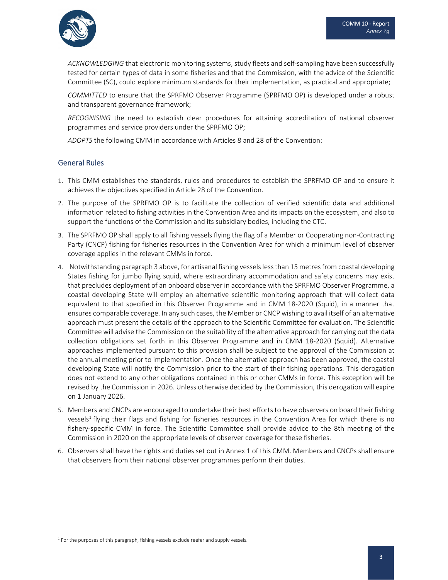

*ACKNOWLEDGING* that electronic monitoring systems, study fleets and self‐sampling have been successfully tested for certain types of data in some fisheries and that the Commission, with the advice of the Scientific Committee (SC), could explore minimum standards for their implementation, as practical and appropriate;

*COMMITTED* to ensure that the SPRFMO Observer Programme (SPRFMO OP) is developed under a robust and transparent governance framework;

*RECOGNISING* the need to establish clear procedures for attaining accreditation of national observer programmes and service providers under the SPRFMO OP;

*ADOPTS* the following CMM in accordance with Articles 8 and 28 of the Convention:

## General Rules

- 1. This CMM establishes the standards, rules and procedures to establish the SPRFMO OP and to ensure it achieves the objectives specified in Article 28 of the Convention.
- 2. The purpose of the SPRFMO OP is to facilitate the collection of verified scientific data and additional information related to fishing activities in the Convention Area and its impacts on the ecosystem, and also to support the functions of the Commission and its subsidiary bodies, including the CTC.
- 3. The SPRFMO OP shall apply to all fishing vessels flying the flag of a Member or Cooperating non‐Contracting Party (CNCP) fishing for fisheries resources in the Convention Area for which a minimum level of observer coverage applies in the relevant CMMs in force.
- 4. Notwithstanding paragraph 3 above, for artisanal fishing vesselslessthan 15 metresfrom coastal developing States fishing for jumbo flying squid, where extraordinary accommodation and safety concerns may exist that precludes deployment of an onboard observer in accordance with the SPRFMO Observer Programme, a coastal developing State will employ an alternative scientific monitoring approach that will collect data equivalent to that specified in this Observer Programme and in CMM 18‐2020 (Squid), in a manner that ensures comparable coverage. In any such cases, the Member or CNCP wishing to avail itself of an alternative approach must present the details of the approach to the Scientific Committee for evaluation. The Scientific Committee will advise the Commission on the suitability of the alternative approach for carrying out the data collection obligations set forth in this Observer Programme and in CMM 18‐2020 (Squid). Alternative approaches implemented pursuant to this provision shall be subject to the approval of the Commission at the annual meeting prior to implementation. Once the alternative approach has been approved, the coastal developing State will notify the Commission prior to the start of their fishing operations. This derogation does not extend to any other obligations contained in this or other CMMs in force. This exception will be revised by the Commission in 2026. Unless otherwise decided by the Commission, this derogation will expire on 1 January 2026.
- 5. Members and CNCPs are encouraged to undertake their best efforts to have observers on board their fishing vessels<sup>1</sup> flying their flags and fishing for fisheries resources in the Convention Area for which there is no fishery‐specific CMM in force. The Scientific Committee shall provide advice to the 8th meeting of the Commission in 2020 on the appropriate levels of observer coverage for these fisheries.
- 6. Observers shall have the rights and duties set out in Annex 1 of this CMM. Members and CNCPs shall ensure that observers from their national observer programmes perform their duties.

 $<sup>1</sup>$  For the purposes of this paragraph, fishing vessels exclude reefer and supply vessels.</sup>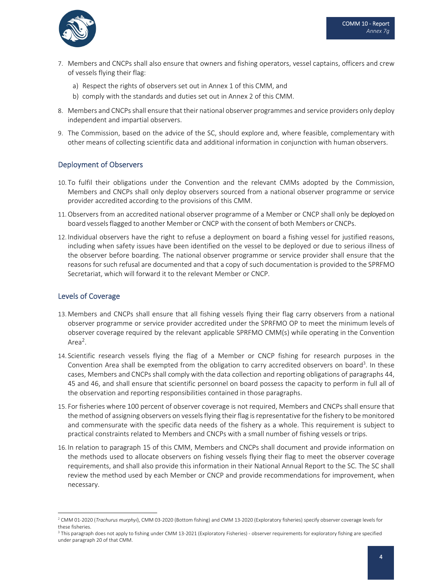

- 7. Members and CNCPs shall also ensure that owners and fishing operators, vessel captains, officers and crew of vessels flying their flag:
	- a) Respect the rights of observers set out in Annex 1 of this CMM, and
	- b) comply with the standards and duties set out in Annex 2 of this CMM.
- 8. Members and CNCPs shall ensure that their national observer programmes and service providers only deploy independent and impartial observers.
- 9. The Commission, based on the advice of the SC, should explore and, where feasible, complementary with other means of collecting scientific data and additional information in conjunction with human observers.

## Deployment of Observers

- 10. To fulfil their obligations under the Convention and the relevant CMMs adopted by the Commission, Members and CNCPs shall only deploy observers sourced from a national observer programme or service provider accredited according to the provisions of this CMM.
- 11.Observers from an accredited national observer programme of a Member or CNCP shall only be deployedon board vesselsflagged to another Member or CNCP with the consent of both Members or CNCPs.
- 12. Individual observers have the right to refuse a deployment on board a fishing vessel for justified reasons, including when safety issues have been identified on the vessel to be deployed or due to serious illness of the observer before boarding. The national observer programme or service provider shall ensure that the reasons for such refusal are documented and that a copy of such documentation is provided to the SPRFMO Secretariat, which will forward it to the relevant Member or CNCP.

## Levels of Coverage

- 13. Members and CNCPs shall ensure that all fishing vessels flying their flag carry observers from a national observer programme or service provider accredited under the SPRFMO OP to meet the minimum levels of observer coverage required by the relevant applicable SPRFMO CMM(s) while operating in the Convention Area<sup>2</sup>.
- 14. Scientific research vessels flying the flag of a Member or CNCP fishing for research purposes in the Convention Area shall be exempted from the obligation to carry accredited observers on board<sup>3</sup>. In these cases, Members and CNCPs shall comply with the data collection and reporting obligations of paragraphs 44, 45 and 46, and shall ensure that scientific personnel on board possess the capacity to perform in full all of the observation and reporting responsibilities contained in those paragraphs.
- 15. For fisheries where 100 percent of observer coverage is not required, Members and CNCPs shall ensure that the method of assigning observers on vesselsflying their flag isrepresentative for the fishery to be monitored and commensurate with the specific data needs of the fishery as a whole. This requirement is subject to practical constraints related to Members and CNCPs with a small number of fishing vessels or trips.
- 16. In relation to paragraph 15 of this CMM, Members and CNCPs shall document and provide information on the methods used to allocate observers on fishing vessels flying their flag to meet the observer coverage requirements, and shall also provide this information in their National Annual Report to the SC. The SC shall review the method used by each Member or CNCP and provide recommendations for improvement, when necessary.

<sup>2</sup> CMM 01‐2020 (*Trachurus murphyi*), CMM 03‐2020 (Bottom fishing) and CMM 13‐2020 (Exploratory fisheries) specify observer coverage levels for these fisheries.

<sup>&</sup>lt;sup>3</sup> This paragraph does not apply to fishing under CMM 13-2021 (Exploratory Fisheries) - observer requirements for exploratory fishing are specified under paragraph 20 of that CMM.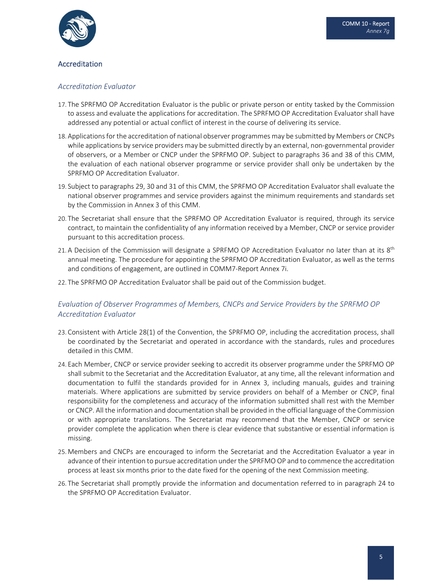

## Accreditation

## *Accreditation Evaluator*

- 17. The SPRFMO OP Accreditation Evaluator is the public or private person or entity tasked by the Commission to assess and evaluate the applications for accreditation. The SPRFMO OP Accreditation Evaluator shall have addressed any potential or actual conflict of interest in the course of delivering its service.
- 18. Applications for the accreditation of national observer programmes may be submitted by Members or CNCPs while applications by service providers may be submitted directly by an external, non-governmental provider of observers, or a Member or CNCP under the SPRFMO OP. Subject to paragraphs 36 and 38 of this CMM, the evaluation of each national observer programme or service provider shall only be undertaken by the SPRFMO OP Accreditation Evaluator.
- 19. Subject to paragraphs 29, 30 and 31 of this CMM, the SPRFMO OP Accreditation Evaluator shall evaluate the national observer programmes and service providers against the minimum requirements and standards set by the Commission in Annex 3 of this CMM.
- 20. The Secretariat shall ensure that the SPRFMO OP Accreditation Evaluator is required, through its service contract, to maintain the confidentiality of any information received by a Member, CNCP or service provider pursuant to this accreditation process.
- 21. A Decision of the Commission will designate a SPRFMO OP Accreditation Evaluator no later than at its 8<sup>th</sup> annual meeting. The procedure for appointing the SPRFMO OP Accreditation Evaluator, as well as the terms and conditions of engagement, are outlined in COMM7‐Report Annex 7i.
- 22. The SPRFMO OP Accreditation Evaluator shall be paid out of the Commission budget.

## *Evaluation of Observer Programmes of Members, CNCPs and Service Providers by the SPRFMO OP Accreditation Evaluator*

- 23. Consistent with Article 28(1) of the Convention, the SPRFMO OP, including the accreditation process, shall be coordinated by the Secretariat and operated in accordance with the standards, rules and procedures detailed in this CMM.
- 24. Each Member, CNCP or service provider seeking to accredit its observer programme under the SPRFMO OP shall submit to the Secretariat and the Accreditation Evaluator, at any time, all the relevant information and documentation to fulfil the standards provided for in Annex 3, including manuals, guides and training materials. Where applications are submitted by service providers on behalf of a Member or CNCP, final responsibility for the completeness and accuracy of the information submitted shall rest with the Member or CNCP. All the information and documentation shall be provided in the official language of the Commission or with appropriate translations. The Secretariat may recommend that the Member, CNCP or service provider complete the application when there is clear evidence that substantive or essential information is missing.
- 25. Members and CNCPs are encouraged to inform the Secretariat and the Accreditation Evaluator a year in advance of their intention to pursue accreditation under the SPRFMO OP and to commence the accreditation process at least six months prior to the date fixed for the opening of the next Commission meeting.
- 26. The Secretariat shall promptly provide the information and documentation referred to in paragraph 24 to the SPRFMO OP Accreditation Evaluator.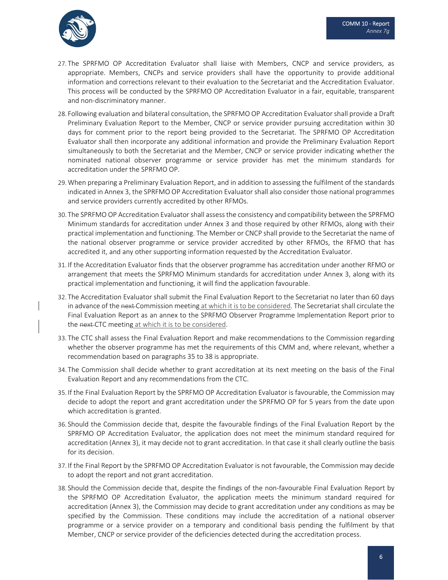

- 27. The SPRFMO OP Accreditation Evaluator shall liaise with Members, CNCP and service providers, as appropriate. Members, CNCPs and service providers shall have the opportunity to provide additional information and corrections relevant to their evaluation to the Secretariat and the Accreditation Evaluator. This process will be conducted by the SPRFMO OP Accreditation Evaluator in a fair, equitable, transparent and non‐discriminatory manner.
- 28. Following evaluation and bilateral consultation, the SPRFMO OP Accreditation Evaluator shall provide a Draft Preliminary Evaluation Report to the Member, CNCP or service provider pursuing accreditation within 30 days for comment prior to the report being provided to the Secretariat. The SPRFMO OP Accreditation Evaluator shall then incorporate any additional information and provide the Preliminary Evaluation Report simultaneously to both the Secretariat and the Member, CNCP or service provider indicating whether the nominated national observer programme or service provider has met the minimum standards for accreditation under the SPRFMO OP.
- 29.When preparing a Preliminary Evaluation Report, and in addition to assessing the fulfilment of the standards indicated in Annex 3, the SPRFMO OP Accreditation Evaluator shall also consider those national programmes and service providers currently accredited by other RFMOs.
- 30. The SPRFMO OP Accreditation Evaluator shall assessthe consistency and compatibility between the SPRFMO Minimum standards for accreditation under Annex 3 and those required by other RFMOs, along with their practical implementation and functioning. The Member or CNCP shall provide to the Secretariat the name of the national observer programme or service provider accredited by other RFMOs, the RFMO that has accredited it, and any other supporting information requested by the Accreditation Evaluator.
- 31. If the Accreditation Evaluator finds that the observer programme has accreditation under another RFMO or arrangement that meets the SPRFMO Minimum standards for accreditation under Annex 3, along with its practical implementation and functioning, it will find the application favourable.
- 32. The Accreditation Evaluator shall submit the Final Evaluation Report to the Secretariat no later than 60 days in advance of the next Commission meeting at which it is to be considered. The Secretariat shall circulate the Final Evaluation Report as an annex to the SPRFMO Observer Programme Implementation Report prior to the next-CTC meeting at which it is to be considered.
- 33. The CTC shall assess the Final Evaluation Report and make recommendations to the Commission regarding whether the observer programme has met the requirements of this CMM and, where relevant, whether a recommendation based on paragraphs 35 to 38 is appropriate.
- 34. The Commission shall decide whether to grant accreditation at its next meeting on the basis of the Final Evaluation Report and any recommendations from the CTC.
- 35. If the Final Evaluation Report by the SPRFMO OP Accreditation Evaluator is favourable, the Commission may decide to adopt the report and grant accreditation under the SPRFMO OP for 5 years from the date upon which accreditation is granted.
- 36. Should the Commission decide that, despite the favourable findings of the Final Evaluation Report by the SPRFMO OP Accreditation Evaluator, the application does not meet the minimum standard required for accreditation (Annex 3), it may decide not to grant accreditation. In that case it shall clearly outline the basis for its decision.
- 37. If the Final Report by the SPRFMO OP Accreditation Evaluator is not favourable, the Commission may decide to adopt the report and not grant accreditation.
- 38. Should the Commission decide that, despite the findings of the non‐favourable Final Evaluation Report by the SPRFMO OP Accreditation Evaluator, the application meets the minimum standard required for accreditation (Annex 3), the Commission may decide to grant accreditation under any conditions as may be specified by the Commission. These conditions may include the accreditation of a national observer programme or a service provider on a temporary and conditional basis pending the fulfilment by that Member, CNCP or service provider of the deficiencies detected during the accreditation process.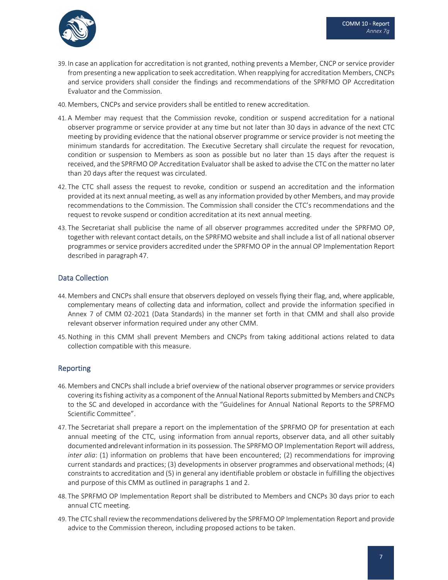

- 39. In case an application for accreditation is not granted, nothing prevents a Member, CNCP or service provider from presenting a new application to seek accreditation. When reapplying for accreditation Members, CNCPs and service providers shall consider the findings and recommendations of the SPRFMO OP Accreditation Evaluator and the Commission.
- 40. Members, CNCPs and service providers shall be entitled to renew accreditation.
- 41. A Member may request that the Commission revoke, condition or suspend accreditation for a national observer programme or service provider at any time but not later than 30 days in advance of the next CTC meeting by providing evidence that the national observer programme or service provider is not meeting the minimum standards for accreditation. The Executive Secretary shall circulate the request for revocation, condition or suspension to Members as soon as possible but no later than 15 days after the request is received, and the SPRFMO OP Accreditation Evaluator shall be asked to advise the CTC on the matter no later than 20 days after the request was circulated.
- 42. The CTC shall assess the request to revoke, condition or suspend an accreditation and the information provided at its next annual meeting, as well as any information provided by other Members, and may provide recommendations to the Commission. The Commission shall consider the CTC's recommendations and the request to revoke suspend or condition accreditation at its next annual meeting.
- 43. The Secretariat shall publicise the name of all observer programmes accredited under the SPRFMO OP, together with relevant contact details, on the SPRFMO website and shall include a list of all national observer programmes or service providers accredited under the SPRFMO OP in the annual OP Implementation Report described in paragraph 47.

## Data Collection

- 44. Members and CNCPs shall ensure that observers deployed on vessels flying their flag, and, where applicable, complementary means of collecting data and information, collect and provide the information specified in Annex 7 of CMM 02‐2021 (Data Standards) in the manner set forth in that CMM and shall also provide relevant observer information required under any other CMM.
- 45.Nothing in this CMM shall prevent Members and CNCPs from taking additional actions related to data collection compatible with this measure.

## Reporting

- 46. Members and CNCPs shall include a brief overview of the national observer programmes or service providers covering its fishing activity as a component of the Annual National Reports submitted by Members and CNCPs to the SC and developed in accordance with the "Guidelines for Annual National Reports to the SPRFMO Scientific Committee".
- 47. The Secretariat shall prepare a report on the implementation of the SPRFMO OP for presentation at each annual meeting of the CTC, using information from annual reports, observer data, and all other suitably documented andrelevantinformation in its possession. The SPRFMO OP Implementation Report will address, *inter alia*: (1) information on problems that have been encountered; (2) recommendations for improving current standards and practices; (3) developments in observer programmes and observational methods; (4) constraints to accreditation and (5) in general any identifiable problem or obstacle in fulfilling the objectives and purpose of this CMM as outlined in paragraphs 1 and 2.
- 48. The SPRFMO OP Implementation Report shall be distributed to Members and CNCPs 30 days prior to each annual CTC meeting.
- 49. The CTC shall reviewthe recommendations delivered by the SPRFMO OP Implementation Report and provide advice to the Commission thereon, including proposed actions to be taken.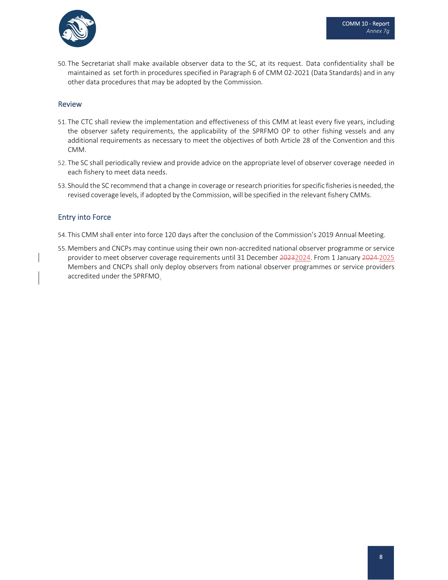

50. The Secretariat shall make available observer data to the SC, at its request. Data confidentiality shall be maintained as set forth in procedures specified in Paragraph 6 of CMM 02‐2021 (Data Standards) and in any other data procedures that may be adopted by the Commission.

#### Review

- 51. The CTC shall review the implementation and effectiveness of this CMM at least every five years, including the observer safety requirements, the applicability of the SPRFMO OP to other fishing vessels and any additional requirements as necessary to meet the objectives of both Article 28 of the Convention and this CMM.
- 52. The SC shall periodically review and provide advice on the appropriate level of observer coverage needed in each fishery to meet data needs.
- 53. Should the SC recommend that a change in coverage or research priorities for specific fisheries is needed, the revised coverage levels, if adopted by the Commission, will be specified in the relevant fishery CMMs.

## Entry into Force

- 54. This CMM shall enter into force 120 days after the conclusion of the Commission's 2019 Annual Meeting.
- 55. Members and CNCPs may continue using their own non‐accredited national observer programme or service provider to meet observer coverage requirements until 31 December 20232024. From 1 January 2024-2025 Members and CNCPs shall only deploy observers from national observer programmes or service providers accredited under the SPRFMO.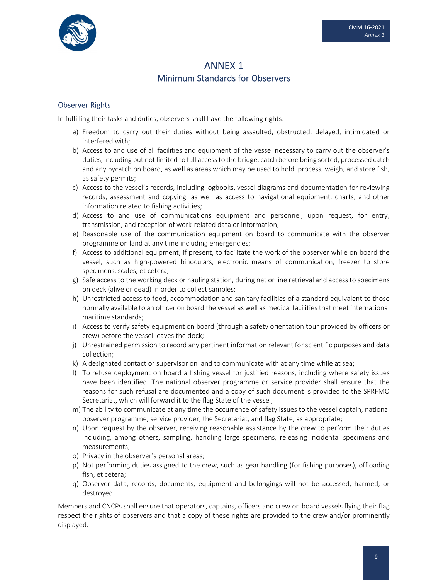

## ANNEX 1 Minimum Standards for Observers

## Observer Rights

In fulfilling their tasks and duties, observers shall have the following rights:

- a) Freedom to carry out their duties without being assaulted, obstructed, delayed, intimidated or interfered with;
- b) Access to and use of all facilities and equipment of the vessel necessary to carry out the observer's duties, including but not limited to full accessto the bridge, catch before being sorted, processed catch and any bycatch on board, as well as areas which may be used to hold, process, weigh, and store fish, as safety permits;
- c) Access to the vessel's records, including logbooks, vessel diagrams and documentation for reviewing records, assessment and copying, as well as access to navigational equipment, charts, and other information related to fishing activities;
- d) Access to and use of communications equipment and personnel, upon request, for entry, transmission, and reception of work‐related data or information;
- e) Reasonable use of the communication equipment on board to communicate with the observer programme on land at any time including emergencies;
- f) Access to additional equipment, if present, to facilitate the work of the observer while on board the vessel, such as high‐powered binoculars, electronic means of communication, freezer to store specimens, scales, et cetera;
- g) Safe access to the working deck or hauling station, during net or line retrieval and access to specimens on deck (alive or dead) in order to collect samples;
- h) Unrestricted access to food, accommodation and sanitary facilities of a standard equivalent to those normally available to an officer on board the vessel as well as medical facilities that meet international maritime standards;
- i) Access to verify safety equipment on board (through a safety orientation tour provided by officers or crew) before the vessel leaves the dock;
- j) Unrestrained permission to record any pertinent information relevant for scientific purposes and data collection;
- k) A designated contact or supervisor on land to communicate with at any time while at sea;
- l) To refuse deployment on board a fishing vessel for justified reasons, including where safety issues have been identified. The national observer programme or service provider shall ensure that the reasons for such refusal are documented and a copy of such document is provided to the SPRFMO Secretariat, which will forward it to the flag State of the vessel;
- m) The ability to communicate at any time the occurrence of safety issues to the vessel captain, national observer programme, service provider, the Secretariat, and flag State, as appropriate;
- n) Upon request by the observer, receiving reasonable assistance by the crew to perform their duties including, among others, sampling, handling large specimens, releasing incidental specimens and measurements;
- o) Privacy in the observer's personal areas;
- p) Not performing duties assigned to the crew, such as gear handling (for fishing purposes), offloading fish, et cetera;
- q) Observer data, records, documents, equipment and belongings will not be accessed, harmed, or destroyed.

Members and CNCPs shall ensure that operators, captains, officers and crew on board vessels flying their flag respect the rights of observers and that a copy of these rights are provided to the crew and/or prominently displayed.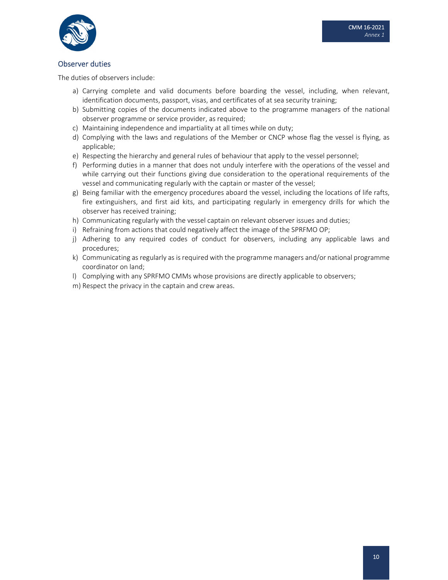

## Observer duties

The duties of observers include:

- a) Carrying complete and valid documents before boarding the vessel, including, when relevant, identification documents, passport, visas, and certificates of at sea security training;
- b) Submitting copies of the documents indicated above to the programme managers of the national observer programme or service provider, as required;
- c) Maintaining independence and impartiality at all times while on duty;
- d) Complying with the laws and regulations of the Member or CNCP whose flag the vessel is flying, as applicable;
- e) Respecting the hierarchy and general rules of behaviour that apply to the vessel personnel;
- f) Performing duties in a manner that does not unduly interfere with the operations of the vessel and while carrying out their functions giving due consideration to the operational requirements of the vessel and communicating regularly with the captain or master of the vessel;
- g) Being familiar with the emergency procedures aboard the vessel, including the locations of life rafts, fire extinguishers, and first aid kits, and participating regularly in emergency drills for which the observer has received training;
- h) Communicating regularly with the vessel captain on relevant observer issues and duties;
- i) Refraining from actions that could negatively affect the image of the SPRFMO OP;
- j) Adhering to any required codes of conduct for observers, including any applicable laws and procedures;
- k) Communicating as regularly as is required with the programme managers and/or national programme coordinator on land;
- l) Complying with any SPRFMO CMMs whose provisions are directly applicable to observers;
- m) Respect the privacy in the captain and crew areas.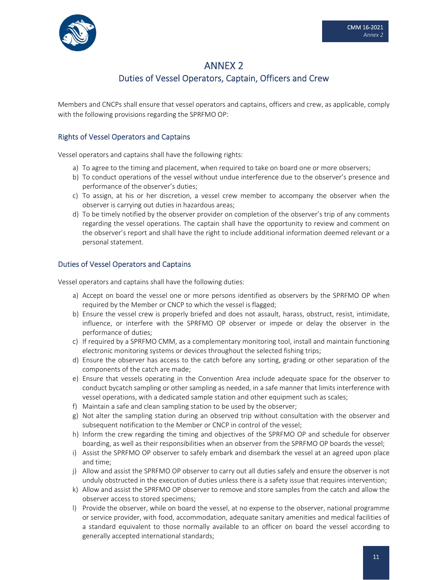

## ANNEX 2 Duties of Vessel Operators, Captain, Officers and Crew

Members and CNCPs shall ensure that vessel operators and captains, officers and crew, as applicable, comply with the following provisions regarding the SPRFMO OP:

## Rights of Vessel Operators and Captains

Vessel operators and captains shall have the following rights:

- a) To agree to the timing and placement, when required to take on board one or more observers;
- b) To conduct operations of the vessel without undue interference due to the observer's presence and performance of the observer's duties;
- c) To assign, at his or her discretion, a vessel crew member to accompany the observer when the observer is carrying out duties in hazardous areas;
- d) To be timely notified by the observer provider on completion of the observer's trip of any comments regarding the vessel operations. The captain shall have the opportunity to review and comment on the observer's report and shall have the right to include additional information deemed relevant or a personal statement.

## Duties of Vessel Operators and Captains

Vessel operators and captains shall have the following duties:

- a) Accept on board the vessel one or more persons identified as observers by the SPRFMO OP when required by the Member or CNCP to which the vessel is flagged;
- b) Ensure the vessel crew is properly briefed and does not assault, harass, obstruct, resist, intimidate, influence, or interfere with the SPRFMO OP observer or impede or delay the observer in the performance of duties;
- c) If required by a SPRFMO CMM, as a complementary monitoring tool, install and maintain functioning electronic monitoring systems or devices throughout the selected fishing trips;
- d) Ensure the observer has access to the catch before any sorting, grading or other separation of the components of the catch are made;
- e) Ensure that vessels operating in the Convention Area include adequate space for the observer to conduct bycatch sampling or other sampling as needed, in a safe manner that limits interference with vessel operations, with a dedicated sample station and other equipment such as scales;
- f) Maintain a safe and clean sampling station to be used by the observer;
- g) Not alter the sampling station during an observed trip without consultation with the observer and subsequent notification to the Member or CNCP in control of the vessel;
- h) Inform the crew regarding the timing and objectives of the SPRFMO OP and schedule for observer boarding, as well as their responsibilities when an observer from the SPRFMO OP boards the vessel;
- i) Assist the SPRFMO OP observer to safely embark and disembark the vessel at an agreed upon place and time;
- j) Allow and assist the SPRFMO OP observer to carry out all duties safely and ensure the observer is not unduly obstructed in the execution of duties unless there is a safety issue that requires intervention;
- k) Allow and assist the SPRFMO OP observer to remove and store samples from the catch and allow the observer access to stored specimens;
- l) Provide the observer, while on board the vessel, at no expense to the observer, national programme or service provider, with food, accommodation, adequate sanitary amenities and medical facilities of a standard equivalent to those normally available to an officer on board the vessel according to generally accepted international standards;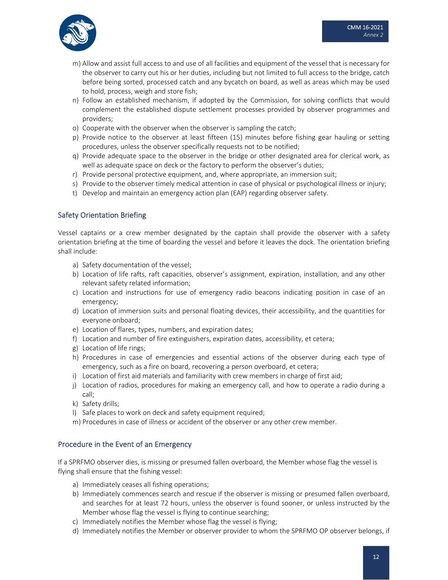

- m) Allow and assist full access to and use of all facilities and equipment of the vessel that is necessary for the observer to carry out his or her duties, including but not limited to full access to the bridge, catch before being sorted, processed catch and any bycatch on board, as well as areas which may be used to hold, process, weigh and store fish;
- n) Follow an established mechanism, if adopted by the Commission, for solving conflicts that would complement the established dispute settlement processes provided by observer programmes and providers;
- o) Cooperate with the observer when the observer is sampling the catch;
- p) Provide notice to the observer at least fifteen (15) minutes before fishing gear hauling or setting procedures, unless the observer specifically requests not to be notified;
- q) Provide adequate space to the observer in the bridge or other designated area for clerical work, as well as adequate space on deck or the factory to perform the observer's duties;
- r) Provide personal protective equipment, and, where appropriate, an immersion suit;
- s) Provide to the observer timely medical attention in case of physical or psychological illness or injury;
- t) Develop and maintain an emergency action plan (EAP) regarding observer safety.

## Safety Orientation Briefing

Vessel captains or a crew member designated by the captain shall provide the observer with a safety orientation briefing at the time of boarding the vessel and before it leaves the dock. The orientation briefing shall include:

- a) Safety documentation of the vessel;
- b) Location of life rafts, raft capacities, observer's assignment, expiration, installation, and any other relevant safety related information;
- c) Location and instructions for use of emergency radio beacons indicating position in case of an emergency;
- d) Location of immersion suits and personal floating devices, their accessibility, and the quantities for everyone onboard;
- e) Location of flares, types, numbers, and expiration dates;
- f) Location and number of fire extinguishers, expiration dates, accessibility, et cetera;
- g) Location of life rings;
- h) Procedures in case of emergencies and essential actions of the observer during each type of emergency, such as a fire on board, recovering a person overboard, et cetera;
- i) Location of first aid materials and familiarity with crew members in charge of first aid;
- j) Location of radios, procedures for making an emergency call, and how to operate a radio during a call;
- k) Safety drills;
- l) Safe places to work on deck and safety equipment required;
- m) Procedures in case of illness or accident of the observer or any other crew member.

## Procedure in the Event of an Emergency

If a SPRFMO observer dies, is missing or presumed fallen overboard, the Member whose flag the vessel is flying shall ensure that the fishing vessel:

- a) Immediately ceases all fishing operations;
- b) Immediately commences search and rescue if the observer is missing or presumed fallen overboard, and searches for at least 72 hours, unless the observer is found sooner, or unless instructed by the Member whose flag the vessel is flying to continue searching;
- c) Immediately notifies the Member whose flag the vessel is flying;
- d) Immediately notifies the Member or observer provider to whom the SPRFMO OP observer belongs, if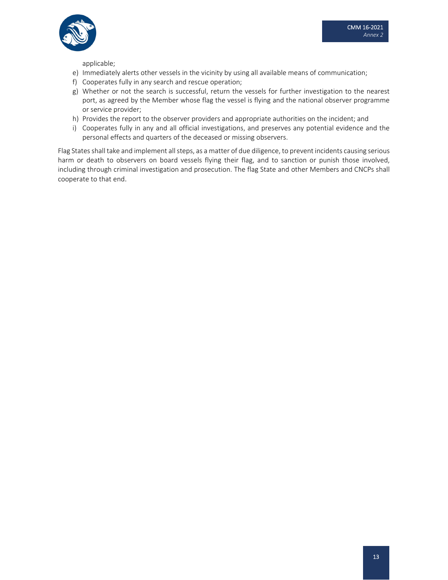

applicable;

- e) Immediately alerts other vessels in the vicinity by using all available means of communication;
- f) Cooperates fully in any search and rescue operation;
- g) Whether or not the search is successful, return the vessels for further investigation to the nearest port, as agreed by the Member whose flag the vessel is flying and the national observer programme or service provider;
- h) Provides the report to the observer providers and appropriate authorities on the incident; and
- i) Cooperates fully in any and all official investigations, and preserves any potential evidence and the personal effects and quarters of the deceased or missing observers.

Flag States shall take and implement all steps, as a matter of due diligence, to prevent incidents causing serious harm or death to observers on board vessels flying their flag, and to sanction or punish those involved, including through criminal investigation and prosecution. The flag State and other Members and CNCPs shall cooperate to that end.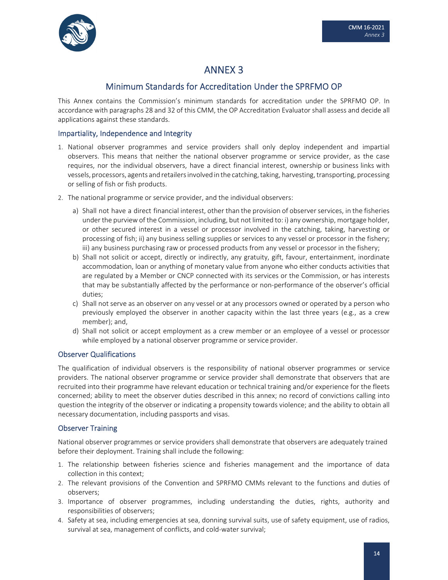

## ANNEX 3

## Minimum Standards for Accreditation Under the SPRFMO OP

This Annex contains the Commission's minimum standards for accreditation under the SPRFMO OP. In accordance with paragraphs 28 and 32 of this CMM, the OP Accreditation Evaluator shall assess and decide all applications against these standards.

## Impartiality, Independence and Integrity

- 1. National observer programmes and service providers shall only deploy independent and impartial observers. This means that neither the national observer programme or service provider, as the case requires, nor the individual observers, have a direct financial interest, ownership or business links with vessels, processors, agents and retailers involved in the catching, taking, harvesting, transporting, processing or selling of fish or fish products.
- 2. The national programme or service provider, and the individual observers:
	- a) Shall not have a direct financial interest, other than the provision of observerservices, in the fisheries underthe purviewof the Commission, including, but not limited to: i) any ownership, mortgage holder, or other secured interest in a vessel or processor involved in the catching, taking, harvesting or processing of fish; ii) any business selling supplies or services to any vessel or processor in the fishery; iii) any business purchasing raw or processed products from any vessel or processor in the fishery;
	- b) Shall not solicit or accept, directly or indirectly, any gratuity, gift, favour, entertainment, inordinate accommodation, loan or anything of monetary value from anyone who either conducts activities that are regulated by a Member or CNCP connected with its services or the Commission, or has interests that may be substantially affected by the performance or non‐performance of the observer's official duties;
	- c) Shall not serve as an observer on any vessel or at any processors owned or operated by a person who previously employed the observer in another capacity within the last three years (e.g., as a crew member); and,
	- d) Shall not solicit or accept employment as a crew member or an employee of a vessel or processor while employed by a national observer programme or service provider.

## Observer Qualifications

The qualification of individual observers is the responsibility of national observer programmes or service providers. The national observer programme or service provider shall demonstrate that observers that are recruited into their programme have relevant education or technical training and/or experience for the fleets concerned; ability to meet the observer duties described in this annex; no record of convictions calling into question the integrity of the observer or indicating a propensity towards violence; and the ability to obtain all necessary documentation, including passports and visas.

## Observer Training

National observer programmes or service providers shall demonstrate that observers are adequately trained before their deployment. Training shall include the following:

- 1. The relationship between fisheries science and fisheries management and the importance of data collection in this context;
- 2. The relevant provisions of the Convention and SPRFMO CMMs relevant to the functions and duties of observers;
- 3. Importance of observer programmes, including understanding the duties, rights, authority and responsibilities of observers;
- 4. Safety at sea, including emergencies at sea, donning survival suits, use of safety equipment, use of radios, survival at sea, management of conflicts, and cold‐water survival;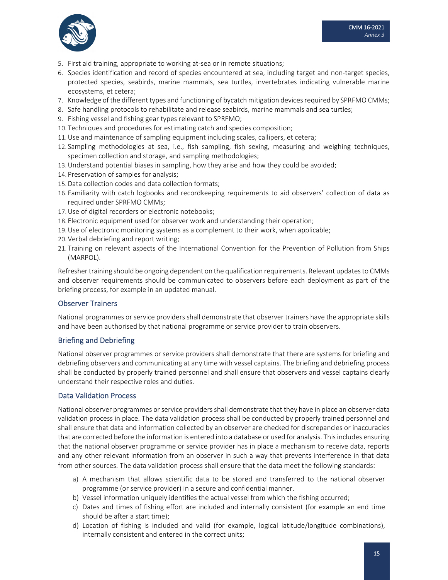

- 5. First aid training, appropriate to working at-sea or in remote situations;
- 6. Species identification and record of species encountered at sea, including target and non‐target species, protected species, seabirds, marine mammals, sea turtles, invertebrates indicating vulnerable marine ecosystems, et cetera;
- 7. Knowledge of the different types and functioning of bycatch mitigation devicesrequired by SPRFMO CMMs;
- 8. Safe handling protocols to rehabilitate and release seabirds, marine mammals and sea turtles;
- 9. Fishing vessel and fishing gear types relevant to SPRFMO;
- 10. Techniques and procedures for estimating catch and species composition;
- 11.Use and maintenance of sampling equipment including scales, callipers, et cetera;
- 12. Sampling methodologies at sea, i.e., fish sampling, fish sexing, measuring and weighing techniques, specimen collection and storage, and sampling methodologies;
- 13.Understand potential biases in sampling, how they arise and how they could be avoided;
- 14. Preservation of samples for analysis;
- 15.Data collection codes and data collection formats;
- 16. Familiarity with catch logbooks and recordkeeping requirements to aid observers' collection of data as required under SPRFMO CMMs;
- 17.Use of digital recorders or electronic notebooks;
- 18. Electronic equipment used for observer work and understanding their operation;
- 19.Use of electronic monitoring systems as a complement to their work, when applicable;
- 20. Verbal debriefing and report writing;
- 21. Training on relevant aspects of the International Convention for the Prevention of Pollution from Ships (MARPOL).

Refresher training should be ongoing dependent on the qualification requirements. Relevant updates to CMMs and observer requirements should be communicated to observers before each deployment as part of the briefing process, for example in an updated manual.

## Observer Trainers

National programmes or service providers shall demonstrate that observer trainers have the appropriate skills and have been authorised by that national programme or service provider to train observers.

## Briefing and Debriefing

National observer programmes or service providers shall demonstrate that there are systems for briefing and debriefing observers and communicating at any time with vessel captains. The briefing and debriefing process shall be conducted by properly trained personnel and shall ensure that observers and vessel captains clearly understand their respective roles and duties.

## Data Validation Process

National observer programmes or service providers shall demonstrate that they have in place an observer data validation process in place. The data validation process shall be conducted by properly trained personnel and shall ensure that data and information collected by an observer are checked for discrepancies or inaccuracies that are corrected before the information is entered into a database or used for analysis. Thisincludes ensuring that the national observer programme or service provider has in place a mechanism to receive data, reports and any other relevant information from an observer in such a way that prevents interference in that data from other sources. The data validation process shall ensure that the data meet the following standards:

- a) A mechanism that allows scientific data to be stored and transferred to the national observer programme (or service provider) in a secure and confidential manner.
- b) Vessel information uniquely identifies the actual vessel from which the fishing occurred;
- c) Dates and times of fishing effort are included and internally consistent (for example an end time should be after a start time);
- d) Location of fishing is included and valid (for example, logical latitude/longitude combinations), internally consistent and entered in the correct units;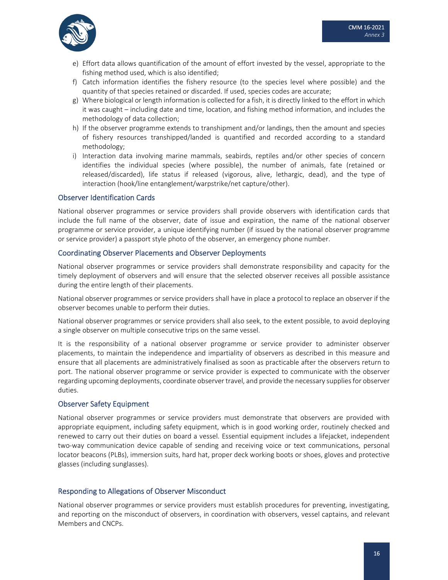

- e) Effort data allows quantification of the amount of effort invested by the vessel, appropriate to the fishing method used, which is also identified;
- f) Catch information identifies the fishery resource (to the species level where possible) and the quantity of that species retained or discarded. If used, species codes are accurate;
- g) Where biological or length information is collected for a fish, it is directly linked to the effort in which it was caught – including date and time, location, and fishing method information, and includes the methodology of data collection;
- h) If the observer programme extends to transhipment and/or landings, then the amount and species of fishery resources transhipped/landed is quantified and recorded according to a standard methodology;
- i) Interaction data involving marine mammals, seabirds, reptiles and/or other species of concern identifies the individual species (where possible), the number of animals, fate (retained or released/discarded), life status if released (vigorous, alive, lethargic, dead), and the type of interaction (hook/line entanglement/warpstrike/net capture/other).

#### Observer Identification Cards

National observer programmes or service providers shall provide observers with identification cards that include the full name of the observer, date of issue and expiration, the name of the national observer programme or service provider, a unique identifying number (if issued by the national observer programme or service provider) a passport style photo of the observer, an emergency phone number.

#### Coordinating Observer Placements and Observer Deployments

National observer programmes or service providers shall demonstrate responsibility and capacity for the timely deployment of observers and will ensure that the selected observer receives all possible assistance during the entire length of their placements.

National observer programmes or service providers shall have in place a protocol to replace an observer if the observer becomes unable to perform their duties.

National observer programmes or service providers shall also seek, to the extent possible, to avoid deploying a single observer on multiple consecutive trips on the same vessel.

It is the responsibility of a national observer programme or service provider to administer observer placements, to maintain the independence and impartiality of observers as described in this measure and ensure that all placements are administratively finalised as soon as practicable after the observers return to port. The national observer programme or service provider is expected to communicate with the observer regarding upcoming deployments, coordinate observer travel, and provide the necessary suppliesfor observer duties.

#### Observer Safety Equipment

National observer programmes or service providers must demonstrate that observers are provided with appropriate equipment, including safety equipment, which is in good working order, routinely checked and renewed to carry out their duties on board a vessel. Essential equipment includes a lifejacket, independent two‐way communication device capable of sending and receiving voice or text communications, personal locator beacons (PLBs), immersion suits, hard hat, proper deck working boots or shoes, gloves and protective glasses (including sunglasses).

#### Responding to Allegations of Observer Misconduct

National observer programmes or service providers must establish procedures for preventing, investigating, and reporting on the misconduct of observers, in coordination with observers, vessel captains, and relevant Members and CNCPs.